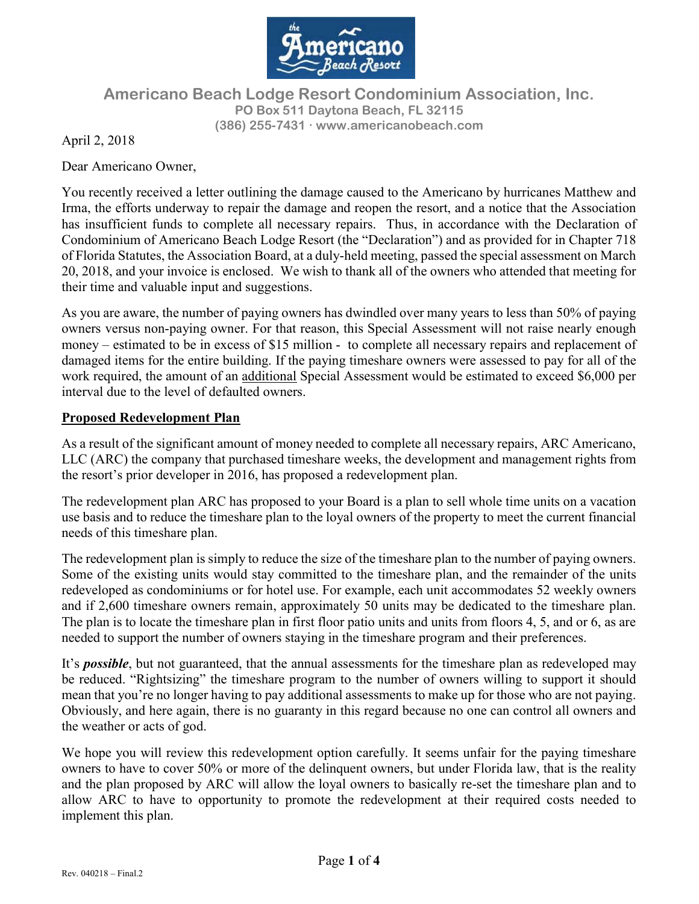

# Americano Beach Lodge Resort Condominium Association, Inc. PO Box 511 Daytona Beach, FL 32115 (386) 255-7431 www.americanobeach.com

April 2, 2018

Dear Americano Owner,

You recently received a letter outlining the damage caused to the Americano by hurricanes Matthew and Irma, the efforts underway to repair the damage and reopen the resort, and a notice that the Association has insufficient funds to complete all necessary repairs. Thus, in accordance with the Declaration of Condominium of Americano Beach Lodge Resort (the "Declaration") and as provided for in Chapter 718 of Florida Statutes, the Association Board, at a duly-held meeting, passed the special assessment on March 20, 2018, and your invoice is enclosed. We wish to thank all of the owners who attended that meeting for their time and valuable input and suggestions.

As you are aware, the number of paying owners has dwindled over many years to less than 50% of paying owners versus non-paying owner. For that reason, this Special Assessment will not raise nearly enough money – estimated to be in excess of \$15 million - to complete all necessary repairs and replacement of damaged items for the entire building. If the paying timeshare owners were assessed to pay for all of the work required, the amount of an additional Special Assessment would be estimated to exceed \$6,000 per interval due to the level of defaulted owners.

# Proposed Redevelopment Plan

As a result of the significant amount of money needed to complete all necessary repairs, ARC Americano, LLC (ARC) the company that purchased timeshare weeks, the development and management rights from the resort's prior developer in 2016, has proposed a redevelopment plan.

The redevelopment plan ARC has proposed to your Board is a plan to sell whole time units on a vacation use basis and to reduce the timeshare plan to the loyal owners of the property to meet the current financial needs of this timeshare plan.

The redevelopment plan is simply to reduce the size of the timeshare plan to the number of paying owners. Some of the existing units would stay committed to the timeshare plan, and the remainder of the units redeveloped as condominiums or for hotel use. For example, each unit accommodates 52 weekly owners and if 2,600 timeshare owners remain, approximately 50 units may be dedicated to the timeshare plan. The plan is to locate the timeshare plan in first floor patio units and units from floors 4, 5, and or 6, as are needed to support the number of owners staying in the timeshare program and their preferences.

It's **possible**, but not guaranteed, that the annual assessments for the timeshare plan as redeveloped may be reduced. "Rightsizing" the timeshare program to the number of owners willing to support it should mean that you're no longer having to pay additional assessments to make up for those who are not paying. Obviously, and here again, there is no guaranty in this regard because no one can control all owners and the weather or acts of god.

We hope you will review this redevelopment option carefully. It seems unfair for the paying timeshare owners to have to cover 50% or more of the delinquent owners, but under Florida law, that is the reality and the plan proposed by ARC will allow the loyal owners to basically re-set the timeshare plan and to allow ARC to have to opportunity to promote the redevelopment at their required costs needed to implement this plan.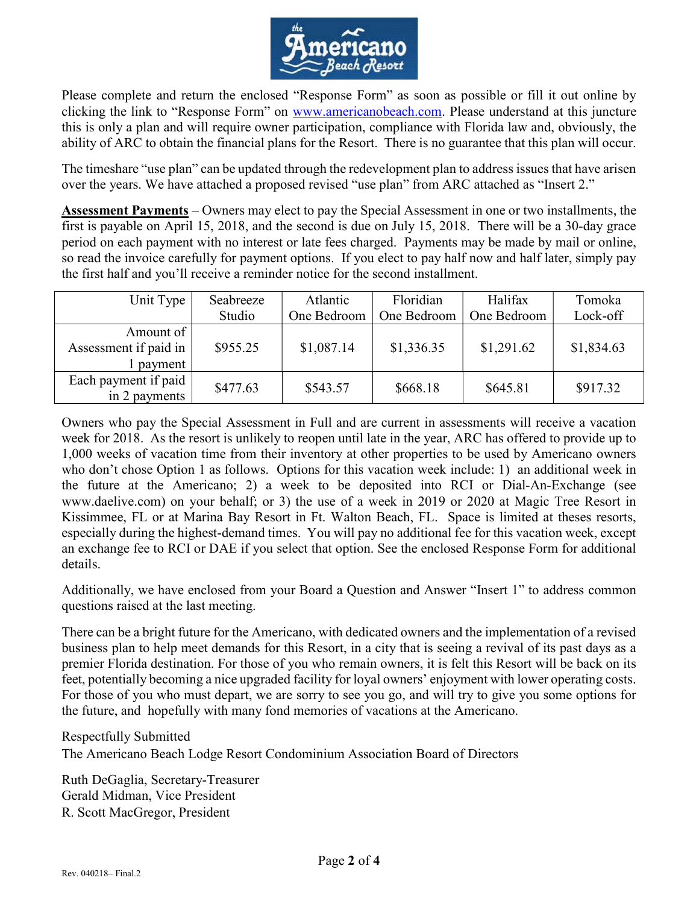

Please complete and return the enclosed "Response Form" as soon as possible or fill it out online by clicking the link to "Response Form" on www.americanobeach.com. Please understand at this juncture this is only a plan and will require owner participation, compliance with Florida law and, obviously, the ability of ARC to obtain the financial plans for the Resort. There is no guarantee that this plan will occur.

The timeshare "use plan" can be updated through the redevelopment plan to address issues that have arisen over the years. We have attached a proposed revised "use plan" from ARC attached as "Insert 2."

Assessment Payments – Owners may elect to pay the Special Assessment in one or two installments, the first is payable on April 15, 2018, and the second is due on July 15, 2018. There will be a 30-day grace period on each payment with no interest or late fees charged. Payments may be made by mail or online, so read the invoice carefully for payment options. If you elect to pay half now and half later, simply pay the first half and you'll receive a reminder notice for the second installment.

| Unit Type                                     | Seabreeze | Atlantic    | Floridian   | Halifax     | Tomoka     |
|-----------------------------------------------|-----------|-------------|-------------|-------------|------------|
|                                               | Studio    | One Bedroom | One Bedroom | One Bedroom | Lock-off   |
| Amount of<br>Assessment if paid in<br>payment | \$955.25  | \$1,087.14  | \$1,336.35  | \$1,291.62  | \$1,834.63 |
| Each payment if paid<br>in 2 payments         | \$477.63  | \$543.57    | \$668.18    | \$645.81    | \$917.32   |

Owners who pay the Special Assessment in Full and are current in assessments will receive a vacation week for 2018. As the resort is unlikely to reopen until late in the year, ARC has offered to provide up to 1,000 weeks of vacation time from their inventory at other properties to be used by Americano owners who don't chose Option 1 as follows. Options for this vacation week include: 1) an additional week in the future at the Americano; 2) a week to be deposited into RCI or Dial-An-Exchange (see www.daelive.com) on your behalf; or 3) the use of a week in 2019 or 2020 at Magic Tree Resort in Kissimmee, FL or at Marina Bay Resort in Ft. Walton Beach, FL. Space is limited at theses resorts, especially during the highest-demand times. You will pay no additional fee for this vacation week, except an exchange fee to RCI or DAE if you select that option. See the enclosed Response Form for additional details.

Additionally, we have enclosed from your Board a Question and Answer "Insert 1" to address common questions raised at the last meeting.

There can be a bright future for the Americano, with dedicated owners and the implementation of a revised business plan to help meet demands for this Resort, in a city that is seeing a revival of its past days as a premier Florida destination. For those of you who remain owners, it is felt this Resort will be back on its feet, potentially becoming a nice upgraded facility for loyal owners' enjoyment with lower operating costs. For those of you who must depart, we are sorry to see you go, and will try to give you some options for the future, and hopefully with many fond memories of vacations at the Americano.

Respectfully Submitted The Americano Beach Lodge Resort Condominium Association Board of Directors

Ruth DeGaglia, Secretary-Treasurer Gerald Midman, Vice President R. Scott MacGregor, President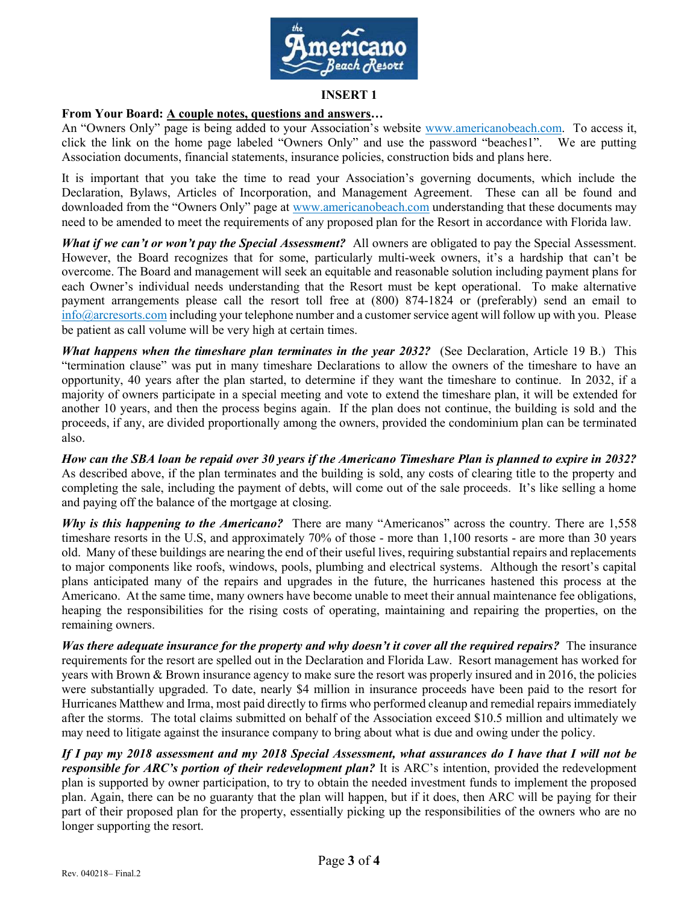

#### INSERT 1

### From Your Board: A couple notes, questions and answers…

An "Owners Only" page is being added to your Association's website www.americanobeach.com. To access it, click the link on the home page labeled "Owners Only" and use the password "beaches1". We are putting Association documents, financial statements, insurance policies, construction bids and plans here.

It is important that you take the time to read your Association's governing documents, which include the Declaration, Bylaws, Articles of Incorporation, and Management Agreement. These can all be found and downloaded from the "Owners Only" page at www.americanobeach.com understanding that these documents may need to be amended to meet the requirements of any proposed plan for the Resort in accordance with Florida law.

What if we can't or won't pay the Special Assessment? All owners are obligated to pay the Special Assessment. However, the Board recognizes that for some, particularly multi-week owners, it's a hardship that can't be overcome. The Board and management will seek an equitable and reasonable solution including payment plans for each Owner's individual needs understanding that the Resort must be kept operational. To make alternative payment arrangements please call the resort toll free at (800) 874-1824 or (preferably) send an email to info@arcresorts.com including your telephone number and a customer service agent will follow up with you. Please be patient as call volume will be very high at certain times.

What happens when the timeshare plan terminates in the year 2032? (See Declaration, Article 19 B.) This "termination clause" was put in many timeshare Declarations to allow the owners of the timeshare to have an opportunity, 40 years after the plan started, to determine if they want the timeshare to continue. In 2032, if a majority of owners participate in a special meeting and vote to extend the timeshare plan, it will be extended for another 10 years, and then the process begins again. If the plan does not continue, the building is sold and the proceeds, if any, are divided proportionally among the owners, provided the condominium plan can be terminated also.

How can the SBA loan be repaid over 30 years if the Americano Timeshare Plan is planned to expire in 2032? As described above, if the plan terminates and the building is sold, any costs of clearing title to the property and completing the sale, including the payment of debts, will come out of the sale proceeds. It's like selling a home and paying off the balance of the mortgage at closing.

Why is this happening to the Americano? There are many "Americanos" across the country. There are 1,558 timeshare resorts in the U.S, and approximately 70% of those - more than 1,100 resorts - are more than 30 years old. Many of these buildings are nearing the end of their useful lives, requiring substantial repairs and replacements to major components like roofs, windows, pools, plumbing and electrical systems. Although the resort's capital plans anticipated many of the repairs and upgrades in the future, the hurricanes hastened this process at the Americano. At the same time, many owners have become unable to meet their annual maintenance fee obligations, heaping the responsibilities for the rising costs of operating, maintaining and repairing the properties, on the remaining owners.

Was there adequate insurance for the property and why doesn't it cover all the required repairs? The insurance requirements for the resort are spelled out in the Declaration and Florida Law. Resort management has worked for years with Brown & Brown insurance agency to make sure the resort was properly insured and in 2016, the policies were substantially upgraded. To date, nearly \$4 million in insurance proceeds have been paid to the resort for Hurricanes Matthew and Irma, most paid directly to firms who performed cleanup and remedial repairs immediately after the storms. The total claims submitted on behalf of the Association exceed \$10.5 million and ultimately we may need to litigate against the insurance company to bring about what is due and owing under the policy.

If I pay my 2018 assessment and my 2018 Special Assessment, what assurances do I have that I will not be responsible for ARC's portion of their redevelopment plan? It is ARC's intention, provided the redevelopment plan is supported by owner participation, to try to obtain the needed investment funds to implement the proposed plan. Again, there can be no guaranty that the plan will happen, but if it does, then ARC will be paying for their part of their proposed plan for the property, essentially picking up the responsibilities of the owners who are no longer supporting the resort.